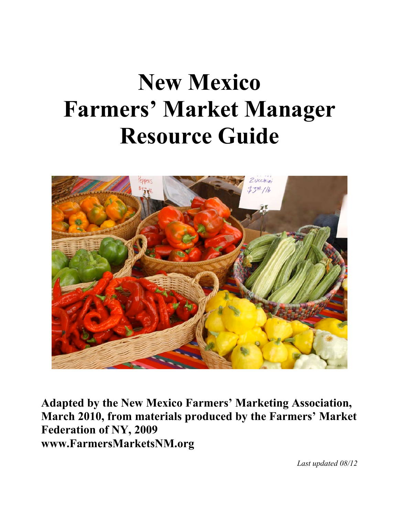# **New Mexico Farmers' Market Manager Resource Guide**



**Adapted by the New Mexico Farmers' Marketing Association, March 2010, from materials produced by the Farmers' Market Federation of NY, 2009 www.FarmersMarketsNM.org**

 *Last updated 08/12*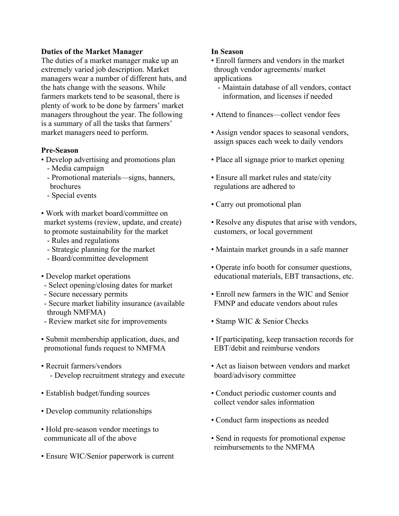#### **Duties of the Market Manager**

The duties of a market manager make up an extremely varied job description. Market managers wear a number of different hats, and the hats change with the seasons. While farmers markets tend to be seasonal, there is plenty of work to be done by farmers' market managers throughout the year. The following is a summary of all the tasks that farmers' market managers need to perform.

#### **Pre-Season**

- Develop advertising and promotions plan - Media campaign
	- Promotional materials—signs, banners, brochures
	- Special events
- Work with market board/committee on market systems (review, update, and create) to promote sustainability for the market
	- Rules and regulations
	- Strategic planning for the market
	- Board/committee development
- Develop market operations
- Select opening/closing dates for market
- Secure necessary permits
- Secure market liability insurance (available through NMFMA)
- Review market site for improvements
- Submit membership application, dues, and promotional funds request to NMFMA
- Recruit farmers/vendors - Develop recruitment strategy and execute
- Establish budget/funding sources
- Develop community relationships
- Hold pre-season vendor meetings to communicate all of the above
- Ensure WIC/Senior paperwork is current

## **In Season**

- Enroll farmers and vendors in the market through vendor agreements/ market applications
	- Maintain database of all vendors, contact information, and licenses if needed
- Attend to finances—collect vendor fees
- Assign vendor spaces to seasonal vendors, assign spaces each week to daily vendors
- Place all signage prior to market opening
- Ensure all market rules and state/city regulations are adhered to
- Carry out promotional plan
- Resolve any disputes that arise with vendors, customers, or local government
- Maintain market grounds in a safe manner
- Operate info booth for consumer questions, educational materials, EBT transactions, etc.
- Enroll new farmers in the WIC and Senior FMNP and educate vendors about rules
- Stamp WIC & Senior Checks
- If participating, keep transaction records for EBT/debit and reimburse vendors
- Act as liaison between vendors and market board/advisory committee
- Conduct periodic customer counts and collect vendor sales information
- Conduct farm inspections as needed
- Send in requests for promotional expense reimbursements to the NMFMA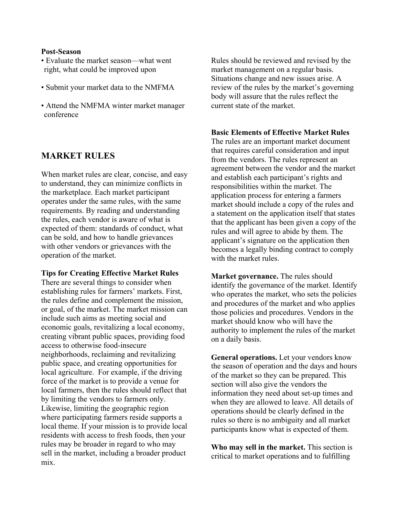#### **Post-Season**

- Evaluate the market season—what went right, what could be improved upon
- Submit your market data to the NMFMA
- Attend the NMFMA winter market manager conference

# **MARKET RULES**

When market rules are clear, concise, and easy to understand, they can minimize conflicts in the marketplace. Each market participant operates under the same rules, with the same requirements. By reading and understanding the rules, each vendor is aware of what is expected of them: standards of conduct, what can be sold, and how to handle grievances with other vendors or grievances with the operation of the market.

#### **Tips for Creating Effective Market Rules**

There are several things to consider when establishing rules for farmers' markets. First, the rules define and complement the mission, or goal, of the market. The market mission can include such aims as meeting social and economic goals, revitalizing a local economy, creating vibrant public spaces, providing food access to otherwise food-insecure neighborhoods, reclaiming and revitalizing public space, and creating opportunities for local agriculture. For example, if the driving force of the market is to provide a venue for local farmers, then the rules should reflect that by limiting the vendors to farmers only. Likewise, limiting the geographic region where participating farmers reside supports a local theme. If your mission is to provide local residents with access to fresh foods, then your rules may be broader in regard to who may sell in the market, including a broader product mix.

Rules should be reviewed and revised by the market management on a regular basis. Situations change and new issues arise. A review of the rules by the market's governing body will assure that the rules reflect the current state of the market.

#### **Basic Elements of Effective Market Rules**

The rules are an important market document that requires careful consideration and input from the vendors. The rules represent an agreement between the vendor and the market and establish each participant's rights and responsibilities within the market. The application process for entering a farmers market should include a copy of the rules and a statement on the application itself that states that the applicant has been given a copy of the rules and will agree to abide by them. The applicant's signature on the application then becomes a legally binding contract to comply with the market rules.

**Market governance.** The rules should identify the governance of the market. Identify who operates the market, who sets the policies and procedures of the market and who applies those policies and procedures. Vendors in the market should know who will have the authority to implement the rules of the market on a daily basis.

**General operations.** Let your vendors know the season of operation and the days and hours of the market so they can be prepared. This section will also give the vendors the information they need about set-up times and when they are allowed to leave. All details of operations should be clearly defined in the rules so there is no ambiguity and all market participants know what is expected of them.

**Who may sell in the market.** This section is critical to market operations and to fulfilling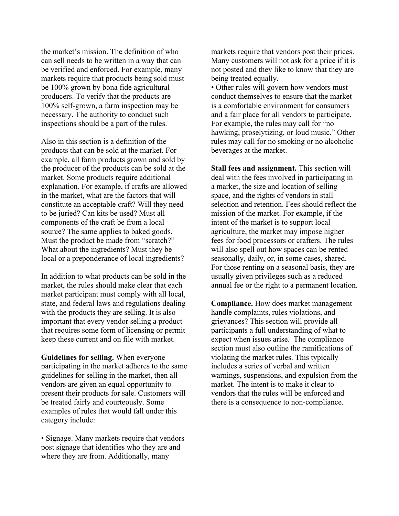the market's mission. The definition of who can sell needs to be written in a way that can be verified and enforced. For example, many markets require that products being sold must be 100% grown by bona fide agricultural producers. To verify that the products are 100% self-grown, a farm inspection may be necessary. The authority to conduct such inspections should be a part of the rules.

Also in this section is a definition of the products that can be sold at the market. For example, all farm products grown and sold by the producer of the products can be sold at the market. Some products require additional explanation. For example, if crafts are allowed in the market, what are the factors that will constitute an acceptable craft? Will they need to be juried? Can kits be used? Must all components of the craft be from a local source? The same applies to baked goods. Must the product be made from "scratch?" What about the ingredients? Must they be local or a preponderance of local ingredients?

In addition to what products can be sold in the market, the rules should make clear that each market participant must comply with all local, state, and federal laws and regulations dealing with the products they are selling. It is also important that every vendor selling a product that requires some form of licensing or permit keep these current and on file with market.

**Guidelines for selling.** When everyone participating in the market adheres to the same guidelines for selling in the market, then all vendors are given an equal opportunity to present their products for sale. Customers will be treated fairly and courteously. Some examples of rules that would fall under this category include:

• Signage. Many markets require that vendors post signage that identifies who they are and where they are from. Additionally, many

markets require that vendors post their prices. Many customers will not ask for a price if it is not posted and they like to know that they are being treated equally.

• Other rules will govern how vendors must conduct themselves to ensure that the market is a comfortable environment for consumers and a fair place for all vendors to participate. For example, the rules may call for "no hawking, proselytizing, or loud music." Other rules may call for no smoking or no alcoholic beverages at the market.

**Stall fees and assignment.** This section will deal with the fees involved in participating in a market, the size and location of selling space, and the rights of vendors in stall selection and retention. Fees should reflect the mission of the market. For example, if the intent of the market is to support local agriculture, the market may impose higher fees for food processors or crafters. The rules will also spell out how spaces can be rented seasonally, daily, or, in some cases, shared. For those renting on a seasonal basis, they are usually given privileges such as a reduced annual fee or the right to a permanent location.

**Compliance.** How does market management handle complaints, rules violations, and grievances? This section will provide all participants a full understanding of what to expect when issues arise. The compliance section must also outline the ramifications of violating the market rules. This typically includes a series of verbal and written warnings, suspensions, and expulsion from the market. The intent is to make it clear to vendors that the rules will be enforced and there is a consequence to non-compliance.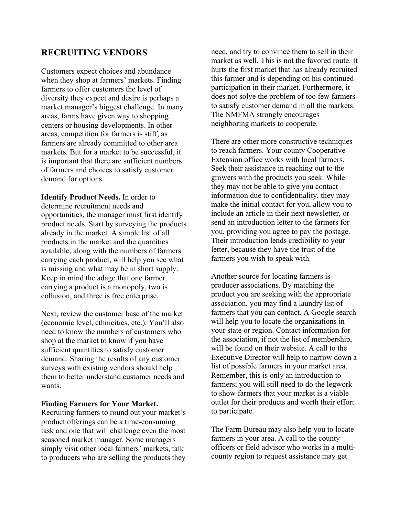# **RECRUITING VENDORS**

Customers expect choices and abundance when they shop at farmers' markets. Finding farmers to offer customers the level of diversity they expect and desire is perhaps a market manager's biggest challenge. In many areas, farms have given way to shopping centers or housing developments. In other areas, competition for farmers is stiff, as farmers are already committed to other area markets. But for a market to be successful, it is important that there are sufficient numbers of farmers and choices to satisfy customer demand for options.

**Identify Product Needs.** In order to determine recruitment needs and opportunities, the manager must first identify product needs. Start by surveying the products already in the market. A simple list of all products in the market and the quantities available, along with the numbers of farmers carrying each product, will help you see what is missing and what may be in short supply. Keep in mind the adage that one farmer carrying a product is a monopoly, two is collusion, and three is free enterprise.

Next, review the customer base of the market (economic level, ethnicities, etc.). You'll also need to know the numbers of customers who shop at the market to know if you have sufficient quantities to satisfy customer demand. Sharing the results of any customer surveys with existing vendors should help them to better understand customer needs and wants.

#### **Finding Farmers for Your Market.**

Recruiting farmers to round out your market's product offerings can be a time-consuming task and one that will challenge even the most seasoned market manager. Some managers simply visit other local farmers' markets, talk to producers who are selling the products they

need, and try to convince them to sell in their market as well. This is not the favored route. It hurts the first market that has already recruited this farmer and is depending on his continued participation in their market. Furthermore, it does not solve the problem of too few farmers to satisfy customer demand in all the markets. The NMFMA strongly encourages neighboring markets to cooperate.

There are other more constructive techniques to reach farmers. Your county Cooperative Extension office works with local farmers. Seek their assistance in reaching out to the growers with the products you seek. While they may not be able to give you contact information due to confidentiality, they may make the initial contact for you, allow you to include an article in their next newsletter, or send an introduction letter to the farmers for you, providing you agree to pay the postage. Their introduction lends credibility to your letter, because they have the trust of the farmers you wish to speak with.

Another source for locating farmers is producer associations. By matching the product you are seeking with the appropriate association, you may find a laundry list of farmers that you can contact. A Google search will help you to locate the organizations in your state or region. Contact information for the association, if not the list of membership, will be found on their website. A call to the Executive Director will help to narrow down a list of possible farmers in your market area. Remember, this is only an introduction to farmers; you will still need to do the legwork to show farmers that your market is a viable outlet for their products and worth their effort to participate.

The Farm Bureau may also help you to locate farmers in your area. A call to the county officers or field advisor who works in a multicounty region to request assistance may get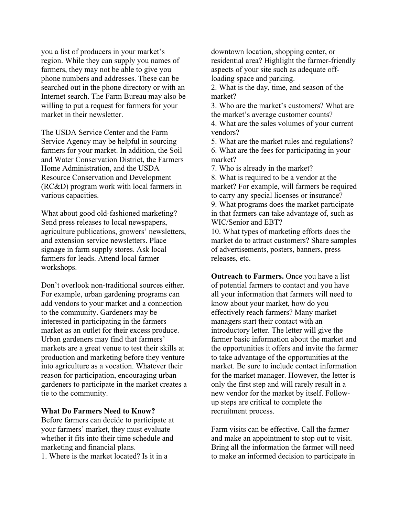you a list of producers in your market's region. While they can supply you names of farmers, they may not be able to give you phone numbers and addresses. These can be searched out in the phone directory or with an Internet search. The Farm Bureau may also be willing to put a request for farmers for your market in their newsletter.

The USDA Service Center and the Farm Service Agency may be helpful in sourcing farmers for your market. In addition, the Soil and Water Conservation District, the Farmers Home Administration, and the USDA Resource Conservation and Development (RC&D) program work with local farmers in various capacities.

What about good old-fashioned marketing? Send press releases to local newspapers, agriculture publications, growers' newsletters, and extension service newsletters. Place signage in farm supply stores. Ask local farmers for leads. Attend local farmer workshops.

Don't overlook non-traditional sources either. For example, urban gardening programs can add vendors to your market and a connection to the community. Gardeners may be interested in participating in the farmers market as an outlet for their excess produce. Urban gardeners may find that farmers' markets are a great venue to test their skills at production and marketing before they venture into agriculture as a vocation. Whatever their reason for participation, encouraging urban gardeners to participate in the market creates a tie to the community.

#### **What Do Farmers Need to Know?**

Before farmers can decide to participate at your farmers' market, they must evaluate whether it fits into their time schedule and marketing and financial plans.

1. Where is the market located? Is it in a

downtown location, shopping center, or residential area? Highlight the farmer-friendly aspects of your site such as adequate offloading space and parking.

2. What is the day, time, and season of the market?

3. Who are the market's customers? What are the market's average customer counts?

4. What are the sales volumes of your current vendors?

5. What are the market rules and regulations? 6. What are the fees for participating in your market?

7. Who is already in the market?

8. What is required to be a vendor at the market? For example, will farmers be required to carry any special licenses or insurance? 9. What programs does the market participate in that farmers can take advantage of, such as WIC/Senior and EBT?

10. What types of marketing efforts does the market do to attract customers? Share samples of advertisements, posters, banners, press releases, etc.

**Outreach to Farmers.** Once you have a list of potential farmers to contact and you have all your information that farmers will need to know about your market, how do you effectively reach farmers? Many market managers start their contact with an introductory letter. The letter will give the farmer basic information about the market and the opportunities it offers and invite the farmer to take advantage of the opportunities at the market. Be sure to include contact information for the market manager. However, the letter is only the first step and will rarely result in a new vendor for the market by itself. Followup steps are critical to complete the recruitment process.

Farm visits can be effective. Call the farmer and make an appointment to stop out to visit. Bring all the information the farmer will need to make an informed decision to participate in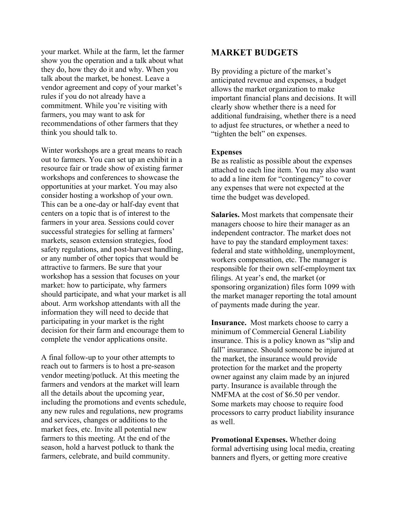your market. While at the farm, let the farmer show you the operation and a talk about what they do, how they do it and why. When you talk about the market, be honest. Leave a vendor agreement and copy of your market's rules if you do not already have a commitment. While you're visiting with farmers, you may want to ask for recommendations of other farmers that they think you should talk to.

Winter workshops are a great means to reach out to farmers. You can set up an exhibit in a resource fair or trade show of existing farmer workshops and conferences to showcase the opportunities at your market. You may also consider hosting a workshop of your own. This can be a one-day or half-day event that centers on a topic that is of interest to the farmers in your area. Sessions could cover successful strategies for selling at farmers' markets, season extension strategies, food safety regulations, and post-harvest handling, or any number of other topics that would be attractive to farmers. Be sure that your workshop has a session that focuses on your market: how to participate, why farmers should participate, and what your market is all about. Arm workshop attendants with all the information they will need to decide that participating in your market is the right decision for their farm and encourage them to complete the vendor applications onsite.

A final follow-up to your other attempts to reach out to farmers is to host a pre-season vendor meeting/potluck. At this meeting the farmers and vendors at the market will learn all the details about the upcoming year, including the promotions and events schedule, any new rules and regulations, new programs and services, changes or additions to the market fees, etc. Invite all potential new farmers to this meeting. At the end of the season, hold a harvest potluck to thank the farmers, celebrate, and build community.

## **MARKET BUDGETS**

By providing a picture of the market's anticipated revenue and expenses, a budget allows the market organization to make important financial plans and decisions. It will clearly show whether there is a need for additional fundraising, whether there is a need to adjust fee structures, or whether a need to "tighten the belt" on expenses.

#### **Expenses**

Be as realistic as possible about the expenses attached to each line item. You may also want to add a line item for "contingency" to cover any expenses that were not expected at the time the budget was developed.

**Salaries.** Most markets that compensate their managers choose to hire their manager as an independent contractor. The market does not have to pay the standard employment taxes: federal and state withholding, unemployment, workers compensation, etc. The manager is responsible for their own self-employment tax filings. At year's end, the market (or sponsoring organization) files form 1099 with the market manager reporting the total amount of payments made during the year.

**Insurance.** Most markets choose to carry a minimum of Commercial General Liability insurance. This is a policy known as "slip and fall" insurance. Should someone be injured at the market, the insurance would provide protection for the market and the property owner against any claim made by an injured party. Insurance is available through the NMFMA at the cost of \$6.50 per vendor. Some markets may choose to require food processors to carry product liability insurance as well.

**Promotional Expenses.** Whether doing formal advertising using local media, creating banners and flyers, or getting more creative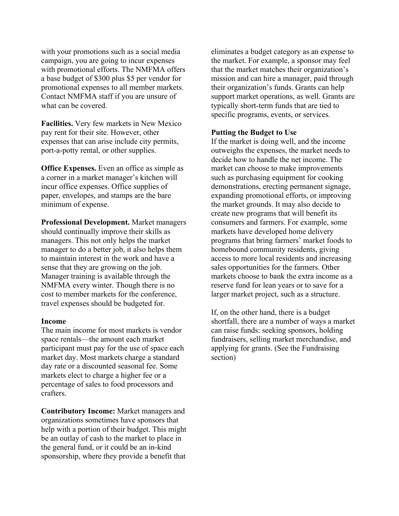with your promotions such as a social media campaign, you are going to incur expenses with promotional efforts. The NMFMA offers a base budget of \$300 plus \$5 per vendor for promotional expenses to all member markets. Contact NMFMA staff if you are unsure of what can be covered.

**Facilities.** Very few markets in New Mexico pay rent for their site. However, other expenses that can arise include city permits, port-a-potty rental, or other supplies.

**Office Expenses.** Even an office as simple as a corner in a market manager's kitchen will incur office expenses. Office supplies of paper, envelopes, and stamps are the bare minimum of expense.

**Professional Development.** Market managers should continually improve their skills as managers. This not only helps the market manager to do a better job, it also helps them to maintain interest in the work and have a sense that they are growing on the job. Manager training is available through the NMFMA every winter. Though there is no cost to member markets for the conference, travel expenses should be budgeted for.

#### **Income**

The main income for most markets is vendor space rentals—the amount each market participant must pay for the use of space each market day. Most markets charge a standard day rate or a discounted seasonal fee. Some markets elect to charge a higher fee or a percentage of sales to food processors and crafters.

**Contributory Income:** Market managers and organizations sometimes have sponsors that help with a portion of their budget. This might be an outlay of cash to the market to place in the general fund, or it could be an in-kind sponsorship, where they provide a benefit that

eliminates a budget category as an expense to the market. For example, a sponsor may feel that the market matches their organization's mission and can hire a manager, paid through their organization's funds. Grants can help support market operations, as well. Grants are typically short-term funds that are tied to specific programs, events, or services.

#### **Putting the Budget to Use**

If the market is doing well, and the income outweighs the expenses, the market needs to decide how to handle the net income. The market can choose to make improvements such as purchasing equipment for cooking demonstrations, erecting permanent signage, expanding promotional efforts, or improving the market grounds. It may also decide to create new programs that will benefit its consumers and farmers. For example, some markets have developed home delivery programs that bring farmers' market foods to homebound community residents, giving access to more local residents and increasing sales opportunities for the farmers. Other markets choose to bank the extra income as a reserve fund for lean years or to save for a larger market project, such as a structure.

If, on the other hand, there is a budget shortfall, there are a number of ways a market can raise funds: seeking sponsors, holding fundraisers, selling market merchandise, and applying for grants. (See the Fundraising section)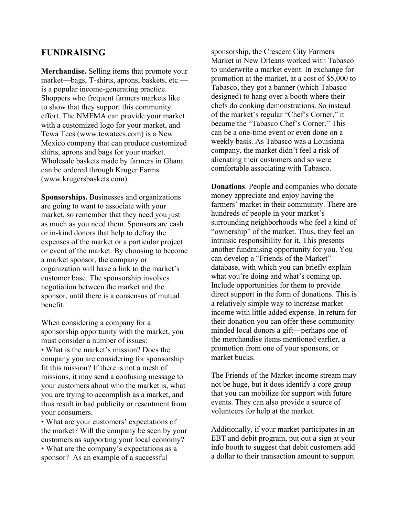## **FUNDRAISING**

**Merchandise.** Selling items that promote your market—bags, T-shirts, aprons, baskets, etc. is a popular income-generating practice. Shoppers who frequent farmers markets like to show that they support this community effort. The NMFMA can provide your market with a customized logo for your market, and Tewa Tees (www.tewatees.com) is a New Mexico company that can produce customized shirts, aprons and bags for your market. Wholesale baskets made by farmers in Ghana can be ordered through Kruger Farms (www.krugersbaskets.com).

**Sponsorships.** Businesses and organizations are going to want to associate with your market, so remember that they need you just as much as you need them. Sponsors are cash or in-kind donors that help to defray the expenses of the market or a particular project or event of the market. By choosing to become a market sponsor, the company or organization will have a link to the market's customer base. The sponsorship involves negotiation between the market and the sponsor, until there is a consensus of mutual benefit.

When considering a company for a sponsorship opportunity with the market, you must consider a number of issues:

• What is the market's mission? Does the company you are considering for sponsorship fit this mission? If there is not a mesh of missions, it may send a confusing message to your customers about who the market is, what you are trying to accomplish as a market, and thus result in bad publicity or resentment from your consumers.

• What are your customers' expectations of the market? Will the company be seen by your customers as supporting your local economy? • What are the company's expectations as a sponsor? As an example of a successful

sponsorship, the Crescent City Farmers Market in New Orleans worked with Tabasco to underwrite a market event. In exchange for promotion at the market, at a cost of \$5,000 to Tabasco, they got a banner (which Tabasco designed) to hang over a booth where their chefs do cooking demonstrations. So instead of the market's regular "Chef's Corner," it became the "Tabasco Chef's Corner." This can be a one-time event or even done on a weekly basis. As Tabasco was a Louisiana company, the market didn't feel a risk of alienating their customers and so were comfortable associating with Tabasco.

**Donations**. People and companies who donate money appreciate and enjoy having the farmers' market in their community. There are hundreds of people in your market's surrounding neighborhoods who feel a kind of "ownership" of the market. Thus, they feel an intrinsic responsibility for it. This presents another fundraising opportunity for you. You can develop a "Friends of the Market" database, with which you can briefly explain what you're doing and what's coming up. Include opportunities for them to provide direct support in the form of donations. This is a relatively simple way to increase market income with little added expense. In return for their donation you can offer these communityminded local donors a gift—perhaps one of the merchandise items mentioned earlier, a promotion from one of your sponsors, or market bucks.

The Friends of the Market income stream may not be huge, but it does identify a core group that you can mobilize for support with future events. They can also provide a source of volunteers for help at the market.

Additionally, if your market participates in an EBT and debit program, put out a sign at your info booth to suggest that debit customers add a dollar to their transaction amount to support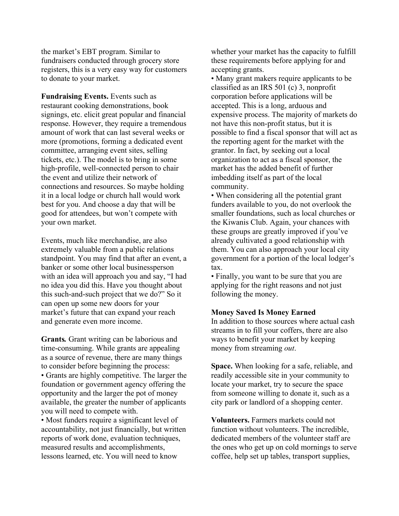the market's EBT program. Similar to fundraisers conducted through grocery store registers, this is a very easy way for customers to donate to your market.

**Fundraising Events.** Events such as restaurant cooking demonstrations, book signings, etc. elicit great popular and financial response. However, they require a tremendous amount of work that can last several weeks or more (promotions, forming a dedicated event committee, arranging event sites, selling tickets, etc.). The model is to bring in some high-profile, well-connected person to chair the event and utilize their network of connections and resources. So maybe holding it in a local lodge or church hall would work best for you. And choose a day that will be good for attendees, but won't compete with your own market.

Events, much like merchandise, are also extremely valuable from a public relations standpoint. You may find that after an event, a banker or some other local businessperson with an idea will approach you and say, "I had no idea you did this. Have you thought about this such-and-such project that we do?" So it can open up some new doors for your market's future that can expand your reach and generate even more income.

**Grants***.* Grant writing can be laborious and time-consuming. While grants are appealing as a source of revenue, there are many things to consider before beginning the process: • Grants are highly competitive. The larger the foundation or government agency offering the opportunity and the larger the pot of money available, the greater the number of applicants you will need to compete with.

• Most funders require a significant level of accountability, not just financially, but written reports of work done, evaluation techniques, measured results and accomplishments, lessons learned, etc. You will need to know

whether your market has the capacity to fulfill these requirements before applying for and accepting grants.

• Many grant makers require applicants to be classified as an IRS 501 (c) 3, nonprofit corporation before applications will be accepted. This is a long, arduous and expensive process. The majority of markets do not have this non-profit status, but it is possible to find a fiscal sponsor that will act as the reporting agent for the market with the grantor. In fact, by seeking out a local organization to act as a fiscal sponsor, the market has the added benefit of further imbedding itself as part of the local community.

• When considering all the potential grant funders available to you, do not overlook the smaller foundations, such as local churches or the Kiwanis Club. Again, your chances with these groups are greatly improved if you've already cultivated a good relationship with them. You can also approach your local city government for a portion of the local lodger's tax.

• Finally, you want to be sure that you are applying for the right reasons and not just following the money.

#### **Money Saved Is Money Earned**

In addition to those sources where actual cash streams in to fill your coffers, there are also ways to benefit your market by keeping money from streaming *out*.

**Space.** When looking for a safe, reliable, and readily accessible site in your community to locate your market, try to secure the space from someone willing to donate it, such as a city park or landlord of a shopping center.

**Volunteers.** Farmers markets could not function without volunteers. The incredible, dedicated members of the volunteer staff are the ones who get up on cold mornings to serve coffee, help set up tables, transport supplies,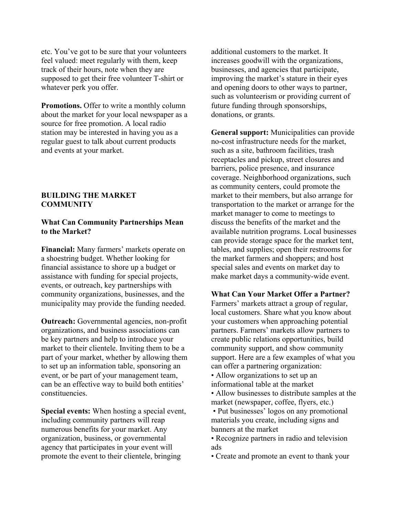etc. You've got to be sure that your volunteers feel valued: meet regularly with them, keep track of their hours, note when they are supposed to get their free volunteer T-shirt or whatever perk you offer.

**Promotions.** Offer to write a monthly column about the market for your local newspaper as a source for free promotion. A local radio station may be interested in having you as a regular guest to talk about current products and events at your market.

#### **BUILDING THE MARKET COMMUNITY**

#### **What Can Community Partnerships Mean to the Market?**

**Financial:** Many farmers' markets operate on a shoestring budget. Whether looking for financial assistance to shore up a budget or assistance with funding for special projects, events, or outreach, key partnerships with community organizations, businesses, and the municipality may provide the funding needed.

**Outreach:** Governmental agencies, non-profit organizations, and business associations can be key partners and help to introduce your market to their clientele. Inviting them to be a part of your market, whether by allowing them to set up an information table, sponsoring an event, or be part of your management team, can be an effective way to build both entities' constituencies.

**Special events:** When hosting a special event, including community partners will reap numerous benefits for your market. Any organization, business, or governmental agency that participates in your event will promote the event to their clientele, bringing

additional customers to the market. It increases goodwill with the organizations, businesses, and agencies that participate, improving the market's stature in their eyes and opening doors to other ways to partner, such as volunteerism or providing current of future funding through sponsorships, donations, or grants.

**General support:** Municipalities can provide no-cost infrastructure needs for the market, such as a site, bathroom facilities, trash receptacles and pickup, street closures and barriers, police presence, and insurance coverage. Neighborhood organizations, such as community centers, could promote the market to their members, but also arrange for transportation to the market or arrange for the market manager to come to meetings to discuss the benefits of the market and the available nutrition programs. Local businesses can provide storage space for the market tent, tables, and supplies; open their restrooms for the market farmers and shoppers; and host special sales and events on market day to make market days a community-wide event.

## **What Can Your Market Offer a Partner?**

Farmers' markets attract a group of regular, local customers. Share what you know about your customers when approaching potential partners. Farmers' markets allow partners to create public relations opportunities, build community support, and show community support. Here are a few examples of what you can offer a partnering organization:

- Allow organizations to set up an informational table at the market
- Allow businesses to distribute samples at the market (newspaper, coffee, flyers, etc.)
- Put businesses' logos on any promotional materials you create, including signs and banners at the market
- Recognize partners in radio and television ads
- Create and promote an event to thank your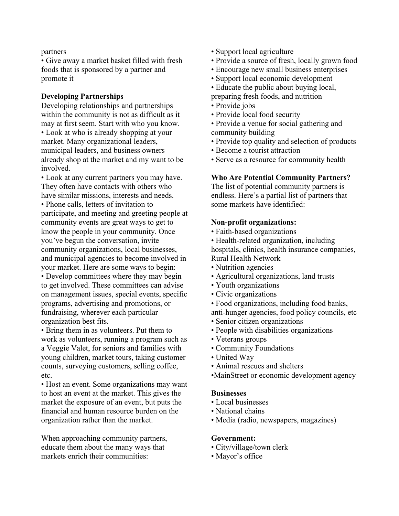#### partners

• Give away a market basket filled with fresh foods that is sponsored by a partner and promote it

## **Developing Partnerships**

Developing relationships and partnerships within the community is not as difficult as it may at first seem. Start with who you know. • Look at who is already shopping at your market. Many organizational leaders, municipal leaders, and business owners already shop at the market and my want to be

involved. • Look at any current partners you may have. They often have contacts with others who have similar missions, interests and needs.

• Phone calls, letters of invitation to participate, and meeting and greeting people at community events are great ways to get to know the people in your community. Once you've begun the conversation, invite community organizations, local businesses, and municipal agencies to become involved in your market. Here are some ways to begin: • Develop committees where they may begin to get involved. These committees can advise on management issues, special events, specific programs, advertising and promotions, or fundraising, wherever each particular organization best fits.

• Bring them in as volunteers. Put them to work as volunteers, running a program such as a Veggie Valet, for seniors and families with young children, market tours, taking customer counts, surveying customers, selling coffee, etc.

• Host an event. Some organizations may want to host an event at the market. This gives the market the exposure of an event, but puts the financial and human resource burden on the organization rather than the market.

When approaching community partners, educate them about the many ways that markets enrich their communities:

- Support local agriculture
- Provide a source of fresh, locally grown food
- Encourage new small business enterprises
- Support local economic development
- Educate the public about buying local,
- preparing fresh foods, and nutrition
- Provide jobs
- Provide local food security
- Provide a venue for social gathering and community building
- Provide top quality and selection of products
- Become a tourist attraction
- Serve as a resource for community health

## **Who Are Potential Community Partners?**

The list of potential community partners is endless. Here's a partial list of partners that some markets have identified:

## **Non-profit organizations:**

- Faith-based organizations
- Health-related organization, including hospitals, clinics, health insurance companies, Rural Health Network
- Nutrition agencies
- Agricultural organizations, land trusts
- Youth organizations
- Civic organizations
- Food organizations, including food banks,
- anti-hunger agencies, food policy councils, etc • Senior citizen organizations
- People with disabilities organizations
- Veterans groups
- Community Foundations
- United Way
- Animal rescues and shelters
- •MainStreet or economic development agency

## **Businesses**

- Local businesses
- National chains
- Media (radio, newspapers, magazines)

## **Government:**

- City/village/town clerk
- Mayor's office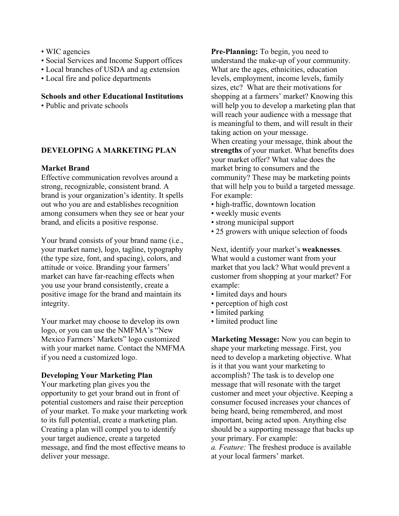- WIC agencies
- Social Services and Income Support offices
- Local branches of USDA and ag extension
- Local fire and police departments

**Schools and other Educational Institutions**

• Public and private schools

## **DEVELOPING A MARKETING PLAN**

#### **Market Brand**

Effective communication revolves around a strong, recognizable, consistent brand. A brand is your organization's identity. It spells out who you are and establishes recognition among consumers when they see or hear your brand, and elicits a positive response.

Your brand consists of your brand name (i.e., your market name), logo, tagline, typography (the type size, font, and spacing), colors, and attitude or voice. Branding your farmers' market can have far-reaching effects when you use your brand consistently, create a positive image for the brand and maintain its integrity.

Your market may choose to develop its own logo, or you can use the NMFMA's "New Mexico Farmers' Markets" logo customized with your market name. Contact the NMFMA if you need a customized logo.

#### **Developing Your Marketing Plan**

Your marketing plan gives you the opportunity to get your brand out in front of potential customers and raise their perception of your market. To make your marketing work to its full potential, create a marketing plan. Creating a plan will compel you to identify your target audience, create a targeted message, and find the most effective means to deliver your message.

**Pre-Planning:** To begin, you need to understand the make-up of your community. What are the ages, ethnicities, education levels, employment, income levels, family sizes, etc? What are their motivations for shopping at a farmers' market? Knowing this will help you to develop a marketing plan that will reach your audience with a message that is meaningful to them, and will result in their taking action on your message. When creating your message, think about the **strengths** of your market. What benefits does your market offer? What value does the

market bring to consumers and the community? These may be marketing points that will help you to build a targeted message. For example:

- high-traffic, downtown location
- weekly music events
- strong municipal support
- 25 growers with unique selection of foods

Next, identify your market's **weaknesses**. What would a customer want from your market that you lack? What would prevent a customer from shopping at your market? For example:

- limited days and hours
- perception of high cost
- limited parking
- limited product line

**Marketing Message:** Now you can begin to shape your marketing message. First, you need to develop a marketing objective. What is it that you want your marketing to accomplish? The task is to develop one message that will resonate with the target customer and meet your objective. Keeping a consumer focused increases your chances of being heard, being remembered, and most important, being acted upon. Anything else should be a supporting message that backs up your primary. For example:

*a. Feature:* The freshest produce is available at your local farmers' market.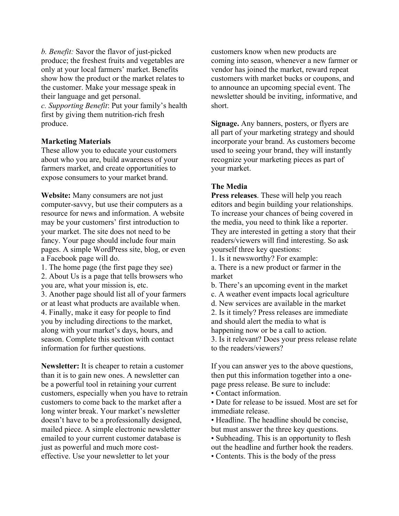*b. Benefit:* Savor the flavor of just-picked produce; the freshest fruits and vegetables are only at your local farmers' market. Benefits show how the product or the market relates to the customer. Make your message speak in their language and get personal. *c. Supporting Benefit*: Put your family's health first by giving them nutrition-rich fresh produce.

## **Marketing Materials**

These allow you to educate your customers about who you are, build awareness of your farmers market, and create opportunities to expose consumers to your market brand.

**Website:** Many consumers are not just computer-savvy, but use their computers as a resource for news and information. A website may be your customers' first introduction to your market. The site does not need to be fancy. Your page should include four main pages. A simple WordPress site, blog, or even a Facebook page will do.

1. The home page (the first page they see)

2. About Us is a page that tells browsers who you are, what your mission is, etc.

3. Another page should list all of your farmers or at least what products are available when. 4. Finally, make it easy for people to find you by including directions to the market, along with your market's days, hours, and season. Complete this section with contact information for further questions.

**Newsletter:** It is cheaper to retain a customer than it is to gain new ones. A newsletter can be a powerful tool in retaining your current customers, especially when you have to retrain customers to come back to the market after a long winter break. Your market's newsletter doesn't have to be a professionally designed, mailed piece. A simple electronic newsletter emailed to your current customer database is just as powerful and much more costeffective. Use your newsletter to let your

customers know when new products are coming into season, whenever a new farmer or vendor has joined the market, reward repeat customers with market bucks or coupons, and to announce an upcoming special event. The newsletter should be inviting, informative, and short.

**Signage.** Any banners, posters, or flyers are all part of your marketing strategy and should incorporate your brand. As customers become used to seeing your brand, they will instantly recognize your marketing pieces as part of your market.

## **The Media**

**Press releases**. These will help you reach editors and begin building your relationships. To increase your chances of being covered in the media, you need to think like a reporter. They are interested in getting a story that their readers/viewers will find interesting. So ask yourself three key questions:

1. Is it newsworthy? For example:

a. There is a new product or farmer in the market

- b. There's an upcoming event in the market
- c. A weather event impacts local agriculture
- d. New services are available in the market

2. Is it timely? Press releases are immediate and should alert the media to what is happening now or be a call to action.

3. Is it relevant? Does your press release relate to the readers/viewers?

If you can answer yes to the above questions, then put this information together into a onepage press release. Be sure to include:

- Contact information.
- Date for release to be issued. Most are set for immediate release.

• Headline. The headline should be concise, but must answer the three key questions.

• Subheading. This is an opportunity to flesh out the headline and further hook the readers.

• Contents. This is the body of the press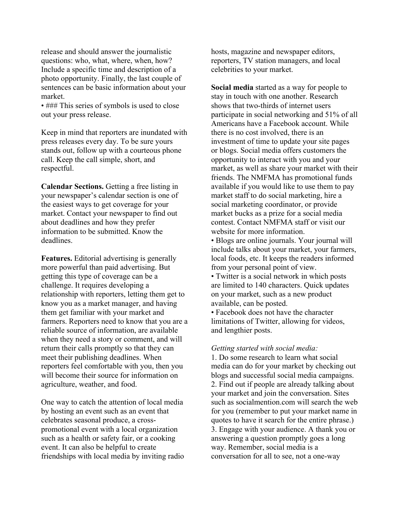release and should answer the journalistic questions: who, what, where, when, how? Include a specific time and description of a photo opportunity. Finally, the last couple of sentences can be basic information about your market.

• ### This series of symbols is used to close out your press release.

Keep in mind that reporters are inundated with press releases every day. To be sure yours stands out, follow up with a courteous phone call. Keep the call simple, short, and respectful.

**Calendar Sections.** Getting a free listing in your newspaper's calendar section is one of the easiest ways to get coverage for your market. Contact your newspaper to find out about deadlines and how they prefer information to be submitted. Know the deadlines.

**Features.** Editorial advertising is generally more powerful than paid advertising. But getting this type of coverage can be a challenge. It requires developing a relationship with reporters, letting them get to know you as a market manager, and having them get familiar with your market and farmers. Reporters need to know that you are a reliable source of information, are available when they need a story or comment, and will return their calls promptly so that they can meet their publishing deadlines. When reporters feel comfortable with you, then you will become their source for information on agriculture, weather, and food.

One way to catch the attention of local media by hosting an event such as an event that celebrates seasonal produce, a crosspromotional event with a local organization such as a health or safety fair, or a cooking event. It can also be helpful to create friendships with local media by inviting radio hosts, magazine and newspaper editors, reporters, TV station managers, and local celebrities to your market.

**Social media** started as a way for people to stay in touch with one another. Research shows that two-thirds of internet users participate in social networking and 51% of all Americans have a Facebook account. While there is no cost involved, there is an investment of time to update your site pages or blogs. Social media offers customers the opportunity to interact with you and your market, as well as share your market with their friends. The NMFMA has promotional funds available if you would like to use them to pay market staff to do social marketing, hire a social marketing coordinator, or provide market bucks as a prize for a social media contest. Contact NMFMA staff or visit our website for more information.

• Blogs are online journals. Your journal will include talks about your market, your farmers, local foods, etc. It keeps the readers informed from your personal point of view.

• Twitter is a social network in which posts are limited to 140 characters. Quick updates on your market, such as a new product available, can be posted.

• Facebook does not have the character limitations of Twitter, allowing for videos, and lengthier posts.

#### *Getting started with social media:*

1. Do some research to learn what social media can do for your market by checking out blogs and successful social media campaigns. 2. Find out if people are already talking about your market and join the conversation. Sites such as socialmention.com will search the web for you (remember to put your market name in quotes to have it search for the entire phrase.) 3. Engage with your audience. A thank you or answering a question promptly goes a long way. Remember, social media is a conversation for all to see, not a one-way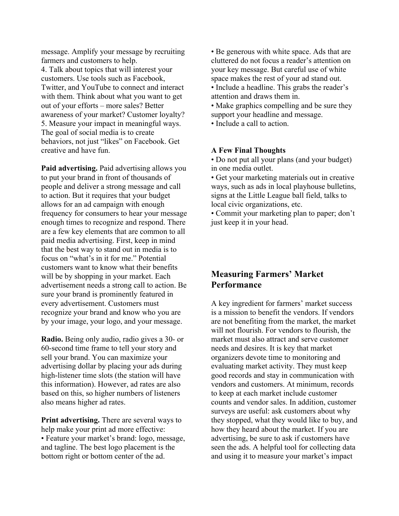message. Amplify your message by recruiting farmers and customers to help. 4. Talk about topics that will interest your customers. Use tools such as Facebook, Twitter, and YouTube to connect and interact with them. Think about what you want to get out of your efforts – more sales? Better awareness of your market? Customer loyalty? 5. Measure your impact in meaningful ways. The goal of social media is to create behaviors, not just "likes" on Facebook. Get creative and have fun.

**Paid advertising.** Paid advertising allows you to put your brand in front of thousands of people and deliver a strong message and call to action. But it requires that your budget allows for an ad campaign with enough frequency for consumers to hear your message enough times to recognize and respond. There are a few key elements that are common to all paid media advertising. First, keep in mind that the best way to stand out in media is to focus on "what's in it for me." Potential customers want to know what their benefits will be by shopping in your market. Each advertisement needs a strong call to action. Be sure your brand is prominently featured in every advertisement. Customers must recognize your brand and know who you are by your image, your logo, and your message.

**Radio.** Being only audio, radio gives a 30- or 60-second time frame to tell your story and sell your brand. You can maximize your advertising dollar by placing your ads during high-listener time slots (the station will have this information). However, ad rates are also based on this, so higher numbers of listeners also means higher ad rates.

**Print advertising.** There are several ways to help make your print ad more effective: • Feature your market's brand: logo, message, and tagline. The best logo placement is the bottom right or bottom center of the ad.

• Be generous with white space. Ads that are cluttered do not focus a reader's attention on your key message. But careful use of white space makes the rest of your ad stand out.

• Include a headline. This grabs the reader's attention and draws them in.

• Make graphics compelling and be sure they support your headline and message.

• Include a call to action.

#### **A Few Final Thoughts**

• Do not put all your plans (and your budget) in one media outlet.

• Get your marketing materials out in creative ways, such as ads in local playhouse bulletins, signs at the Little League ball field, talks to local civic organizations, etc.

• Commit your marketing plan to paper; don't just keep it in your head.

# **Measuring Farmers' Market Performance**

A key ingredient for farmers' market success is a mission to benefit the vendors. If vendors are not benefiting from the market, the market will not flourish. For vendors to flourish, the market must also attract and serve customer needs and desires. It is key that market organizers devote time to monitoring and evaluating market activity. They must keep good records and stay in communication with vendors and customers. At minimum, records to keep at each market include customer counts and vendor sales. In addition, customer surveys are useful: ask customers about why they stopped, what they would like to buy, and how they heard about the market. If you are advertising, be sure to ask if customers have seen the ads. A helpful tool for collecting data and using it to measure your market's impact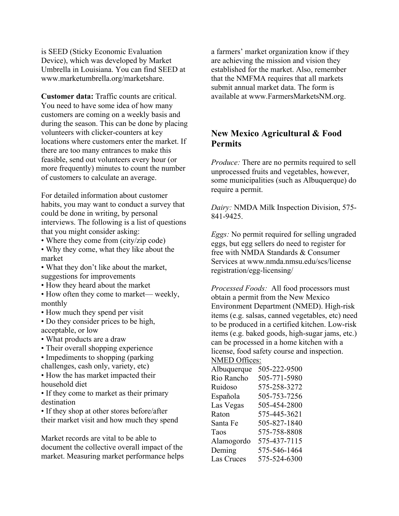is SEED (Sticky Economic Evaluation Device), which was developed by Market Umbrella in Louisiana. You can find SEED at www.marketumbrella.org/marketshare.

**Customer data:** Traffic counts are critical. You need to have some idea of how many customers are coming on a weekly basis and during the season. This can be done by placing volunteers with clicker-counters at key locations where customers enter the market. If there are too many entrances to make this feasible, send out volunteers every hour (or more frequently) minutes to count the number of customers to calculate an average.

For detailed information about customer habits, you may want to conduct a survey that could be done in writing, by personal interviews. The following is a list of questions that you might consider asking:

- Where they come from (city/zip code)
- Why they come, what they like about the market
- What they don't like about the market, suggestions for improvements
- How they heard about the market
- How often they come to market— weekly, monthly
- How much they spend per visit
- Do they consider prices to be high, acceptable, or low
- What products are a draw
- Their overall shopping experience
- Impediments to shopping (parking)
- challenges, cash only, variety, etc) • How the has market impacted their
- household diet

• If they come to market as their primary destination

• If they shop at other stores before/after their market visit and how much they spend

Market records are vital to be able to document the collective overall impact of the market. Measuring market performance helps a farmers' market organization know if they are achieving the mission and vision they established for the market. Also, remember that the NMFMA requires that all markets submit annual market data. The form is available at www.FarmersMarketsNM.org.

# **New Mexico Agricultural & Food Permits**

*Produce:* There are no permits required to sell unprocessed fruits and vegetables, however, some municipalities (such as Albuquerque) do require a permit.

*Dairy:* NMDA Milk Inspection Division, 575- 841-9425.

*Eggs:* No permit required for selling ungraded eggs, but egg sellers do need to register for free with NMDA Standards & Consumer Services at www.nmda.nmsu.edu/scs/license registration/egg-licensing/

*Processed Foods:* All food processors must obtain a permit from the New Mexico Environment Department (NMED). High-risk items (e.g. salsas, canned vegetables, etc) need to be produced in a certified kitchen. Low-risk items (e.g. baked goods, high-sugar jams, etc.) can be processed in a home kitchen with a license, food safety course and inspection.

## NMED Offices:

| Albuquerque | 505-222-9500 |
|-------------|--------------|
| Rio Rancho  | 505-771-5980 |
| Ruidoso     | 575-258-3272 |
| Española    | 505-753-7256 |
| Las Vegas   | 505-454-2800 |
| Raton       | 575-445-3621 |
| Santa Fe    | 505-827-1840 |
| Taos        | 575-758-8808 |
| Alamogordo  | 575-437-7115 |
| Deming      | 575-546-1464 |
| Las Cruces  | 575-524-6300 |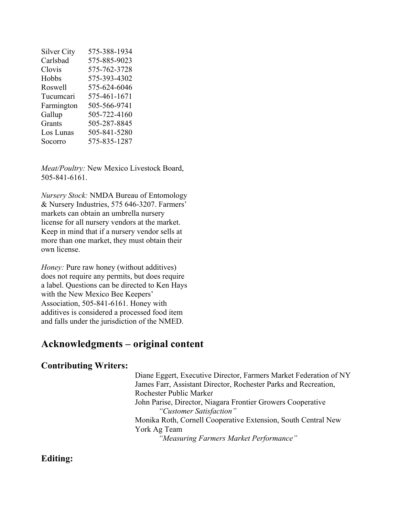| <b>Silver City</b> | 575-388-1934 |
|--------------------|--------------|
| Carlsbad           | 575-885-9023 |
| Clovis             | 575-762-3728 |
| Hobbs              | 575-393-4302 |
| Roswell            | 575-624-6046 |
| Tucumcari          | 575-461-1671 |
| Farmington         | 505-566-9741 |
| Gallup             | 505-722-4160 |
| Grants             | 505-287-8845 |
| Los Lunas          | 505-841-5280 |
| Socorro            | 575-835-1287 |

*Meat/Poultry:* New Mexico Livestock Board, 505-841-6161.

*Nursery Stock:* NMDA Bureau of Entomology & Nursery Industries, 575 646-3207. Farmers' markets can obtain an umbrella nursery license for all nursery vendors at the market. Keep in mind that if a nursery vendor sells at more than one market, they must obtain their own license.

*Honey:* Pure raw honey (without additives) does not require any permits, but does require a label. Questions can be directed to Ken Hays with the New Mexico Bee Keepers' Association, 505-841-6161. Honey with additives is considered a processed food item and falls under the jurisdiction of the NMED.

# **Acknowledgments – original content**

## **Contributing Writers:**

Diane Eggert, Executive Director, Farmers Market Federation of NY James Farr, Assistant Director, Rochester Parks and Recreation, Rochester Public Marke*t* John Parise, Director, Niagara Frontier Growers Cooperative *"Customer Satisfaction"* Monika Roth, Cornell Cooperative Extension, South Central New York Ag Team *"Measuring Farmers Market Performance"*

## **Editing:**